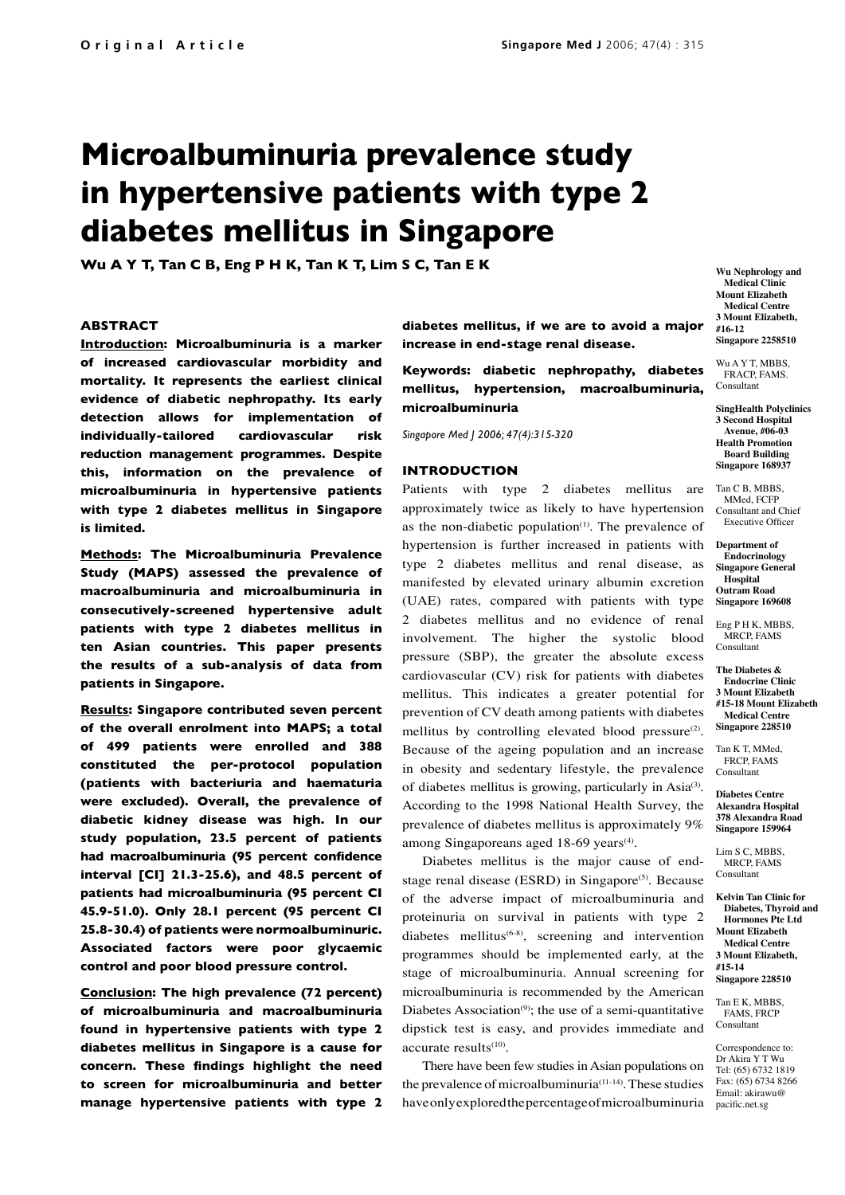# **Microalbuminuria prevalence study in hypertensive patients with type 2 diabetes mellitus in Singapore**

**Wu A Y T, Tan C B, Eng P H K, Tan K T, Lim S C, Tan E K Wu A Wu Nephrology** and

## **ABSTRACT**

**Introduction: Microalbuminuria is a marker of increased cardiovascular morbidity and mortality. It represents the earliest clinical evidence of diabetic nephropathy. Its early detection allows for implementation of individually-tailored cardiovascular risk reduction management programmes. Despite this, information on the prevalence of microalbuminuria in hypertensive patients with type 2 diabetes mellitus in Singapore is limited.** 

**Methods: The Microalbuminuria Prevalence Study (MAPS) assessed the prevalence of macroalbuminuria and microalbuminuria in consecutively-screened hypertensive adult patients with type 2 diabetes mellitus in ten Asian countries. This paper presents the results of a sub-analysis of data from patients in Singapore.** 

**Results: Singapore contributed seven percent of the overall enrolment into MAPS; a total of 499 patients were enrolled and 388 constituted the per-protocol population (patients with bacteriuria and haematuria were excluded). Overall, the prevalence of diabetic kidney disease was high. In our study population, 23.5 percent of patients had macroalbuminuria (95 percent confidence interval [CI] 21.3-25.6), and 48.5 percent of patients had microalbuminuria (95 percent CI 45.9-51.0). Only 28.1 percent (95 percent CI 25.8-30.4) of patients were normoalbuminuric. Associated factors were poor glycaemic control and poor blood pressure control.** 

**Conclusion: The high prevalence (72 percent) of microalbuminuria and macroalbuminuria found in hypertensive patients with type 2 diabetes mellitus in Singapore is a cause for concern. These findings highlight the need to screen for microalbuminuria and better manage hypertensive patients with type 2** **diabetes mellitus, if we are to avoid a major increase in end-stage renal disease.**

**Keywords: diabetic nephropathy, diabetes mellitus, hypertension, macroalbuminuria, microalbuminuria**

*Singapore Med J 2006; 47(4):315-320*

### **INTRODUCTION**

Patients with type 2 diabetes mellitus are approximately twice as likely to have hypertension as the non-diabetic population $(1)$ . The prevalence of hypertension is further increased in patients with type 2 diabetes mellitus and renal disease, as manifested by elevated urinary albumin excretion (UAE) rates, compared with patients with type 2 diabetes mellitus and no evidence of renal involvement. The higher the systolic blood pressure (SBP), the greater the absolute excess cardiovascular (CV) risk for patients with diabetes mellitus. This indicates a greater potential for prevention of CV death among patients with diabetes mellitus by controlling elevated blood pressure $(2)$ . Because of the ageing population and an increase in obesity and sedentary lifestyle, the prevalence of diabetes mellitus is growing, particularly in Asia<sup>(3)</sup>. According to the 1998 National Health Survey, the prevalence of diabetes mellitus is approximately 9% among Singaporeans aged  $18-69$  years<sup>(4)</sup>.

Diabetes mellitus is the major cause of endstage renal disease (ESRD) in Singapore $(5)$ . Because of the adverse impact of microalbuminuria and proteinuria on survival in patients with type 2 diabetes mellitus<sup> $(6-8)$ </sup>, screening and intervention programmes should be implemented early, at the stage of microalbuminuria. Annual screening for microalbuminuria is recommended by the American Diabetes Association $(9)$ ; the use of a semi-quantitative dipstick test is easy, and provides immediate and accurate results $(10)$ .

There have been few studies in Asian populations on the prevalence of microalbuminuria $(11-14)$ . These studies have only explored the percentage of microalbuminuria

**Medical Clinic Mount Elizabeth Medical Centre 3 Mount Elizabeth, #16-12 Singapore 2258510**

Wu A Y T, MBBS, FRACP, FAMS. Consultant

**SingHealth Polyclinics 3 Second Hospital Avenue, #06-03 Health Promotion Board Building Singapore 168937** 

Tan C B, MBBS, MMed, FCFP Consultant and Chief Executive Officer

**Department of Endocrinology Singapore General Hospital Outram Road Singapore 169608**

Eng P H K, MBBS, MRCP, FAMS Consultant

**The Diabetes & Endocrine Clinic 3 Mount Elizabeth**

**#15-18 Mount Elizabeth Medical Centre Singapore 228510**

Tan K T, MMed, FRCP, FAMS Consultant

**Diabetes Centre Alexandra Hospital 378 Alexandra Road Singapore 159964**

Lim S C, MBBS MRCP, FAMS Consultant

**Kelvin Tan Clinic for Diabetes, Thyroid and Hormones Pte Ltd Mount Elizabeth Medical Centre 3 Mount Elizabeth, #15-14 Singapore 228510**

Tan E K, MBBS, **FAMS**, FRCP Consultant

Correspondence to: Dr Akira Y T Wu Tel: (65) 6732 1819 Fax: (65) 6734 8266 Email: akirawu@ pacific.net.sg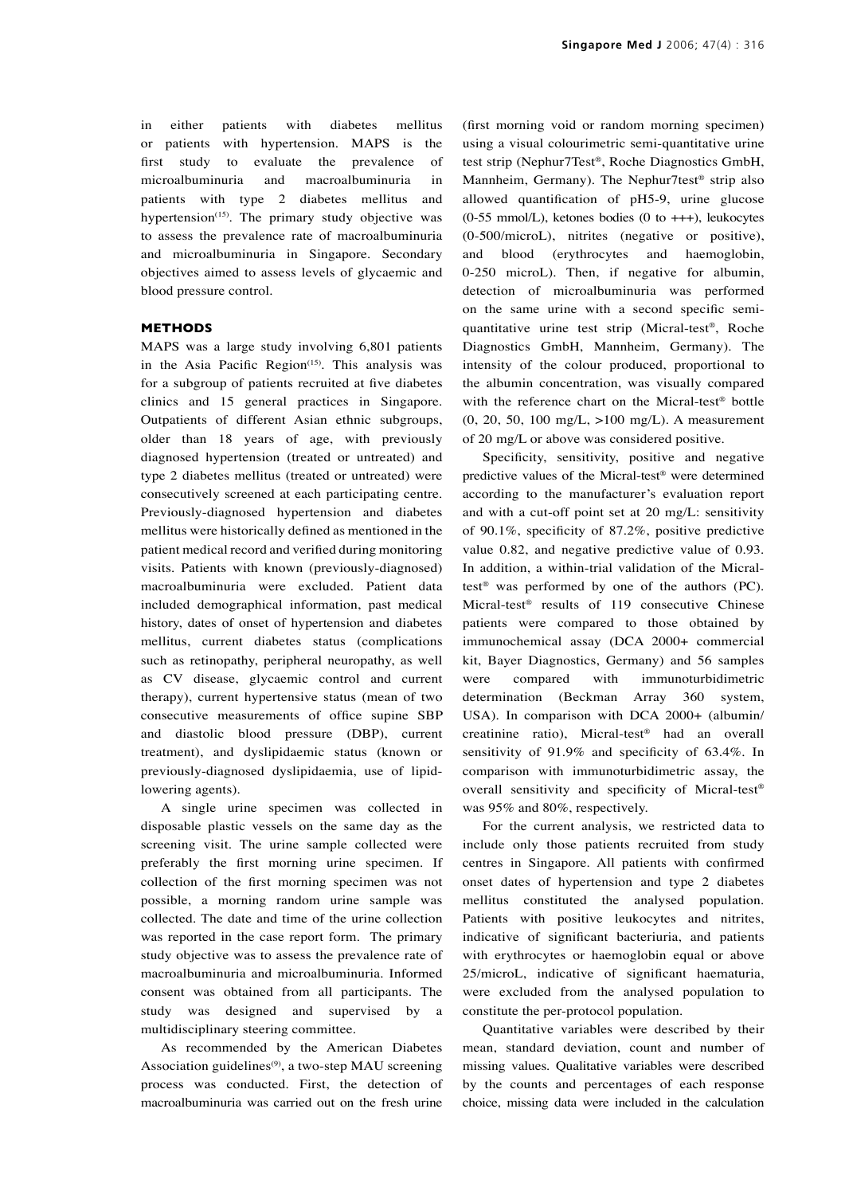in either patients with diabetes mellitus or patients with hypertension. MAPS is the first study to evaluate the prevalence of microalbuminuria and macroalbuminuria in patients with type 2 diabetes mellitus and hypertension<sup>(15)</sup>. The primary study objective was to assess the prevalence rate of macroalbuminuria and microalbuminuria in Singapore. Secondary objectives aimed to assess levels of glycaemic and blood pressure control.

# **METHODS**

MAPS was a large study involving 6,801 patients in the Asia Pacific Region $(15)$ . This analysis was for a subgroup of patients recruited at five diabetes clinics and 15 general practices in Singapore. Outpatients of different Asian ethnic subgroups, older than 18 years of age, with previously diagnosed hypertension (treated or untreated) and type 2 diabetes mellitus (treated or untreated) were consecutively screened at each participating centre. Previously-diagnosed hypertension and diabetes mellitus were historically defined as mentioned in the patient medical record and verified during monitoring visits. Patients with known (previously-diagnosed) macroalbuminuria were excluded. Patient data included demographical information, past medical history, dates of onset of hypertension and diabetes mellitus, current diabetes status (complications such as retinopathy, peripheral neuropathy, as well as CV disease, glycaemic control and current therapy), current hypertensive status (mean of two consecutive measurements of office supine SBP and diastolic blood pressure (DBP), current treatment), and dyslipidaemic status (known or previously-diagnosed dyslipidaemia, use of lipidlowering agents).

A single urine specimen was collected in disposable plastic vessels on the same day as the screening visit. The urine sample collected were preferably the first morning urine specimen. If collection of the first morning specimen was not possible, a morning random urine sample was collected. The date and time of the urine collection was reported in the case report form. The primary study objective was to assess the prevalence rate of macroalbuminuria and microalbuminuria. Informed consent was obtained from all participants. The study was designed and supervised by a multidisciplinary steering committee.

As recommended by the American Diabetes Association guidelines<sup>(9)</sup>, a two-step MAU screening process was conducted. First, the detection of macroalbuminuria was carried out on the fresh urine (first morning void or random morning specimen) using a visual colourimetric semi-quantitative urine test strip (Nephur7Test®, Roche Diagnostics GmbH, Mannheim, Germany). The Nephur7test® strip also allowed quantification of pH5-9, urine glucose  $(0-55 \text{ mmol/L})$ , ketones bodies  $(0 \text{ to } +++)$ , leukocytes (0-500/microL), nitrites (negative or positive), and blood (erythrocytes and haemoglobin, 0-250 microL). Then, if negative for albumin, detection of microalbuminuria was performed on the same urine with a second specific semiquantitative urine test strip (Micral-test®, Roche Diagnostics GmbH, Mannheim, Germany). The intensity of the colour produced, proportional to the albumin concentration, was visually compared with the reference chart on the Micral-test® bottle (0, 20, 50, 100 mg/L, >100 mg/L). A measurement of 20 mg/L or above was considered positive.

Specificity, sensitivity, positive and negative predictive values of the Micral-test® were determined according to the manufacturer's evaluation report and with a cut-off point set at 20 mg/L: sensitivity of 90.1%, specificity of 87.2%, positive predictive value 0.82, and negative predictive value of 0.93. In addition, a within-trial validation of the Micraltest® was performed by one of the authors (PC). Micral-test® results of 119 consecutive Chinese patients were compared to those obtained by immunochemical assay (DCA 2000+ commercial kit, Bayer Diagnostics, Germany) and 56 samples were compared with immunoturbidimetric determination (Beckman Array 360 system, USA). In comparison with DCA 2000+ (albumin/ creatinine ratio), Micral-test® had an overall sensitivity of 91.9% and specificity of 63.4%. In comparison with immunoturbidimetric assay, the overall sensitivity and specificity of Micral-test® was 95% and 80%, respectively.

For the current analysis, we restricted data to include only those patients recruited from study centres in Singapore. All patients with confirmed onset dates of hypertension and type 2 diabetes mellitus constituted the analysed population. Patients with positive leukocytes and nitrites, indicative of significant bacteriuria, and patients with erythrocytes or haemoglobin equal or above 25/microL, indicative of significant haematuria, were excluded from the analysed population to constitute the per-protocol population.

Quantitative variables were described by their mean, standard deviation, count and number of missing values. Qualitative variables were described by the counts and percentages of each response choice, missing data were included in the calculation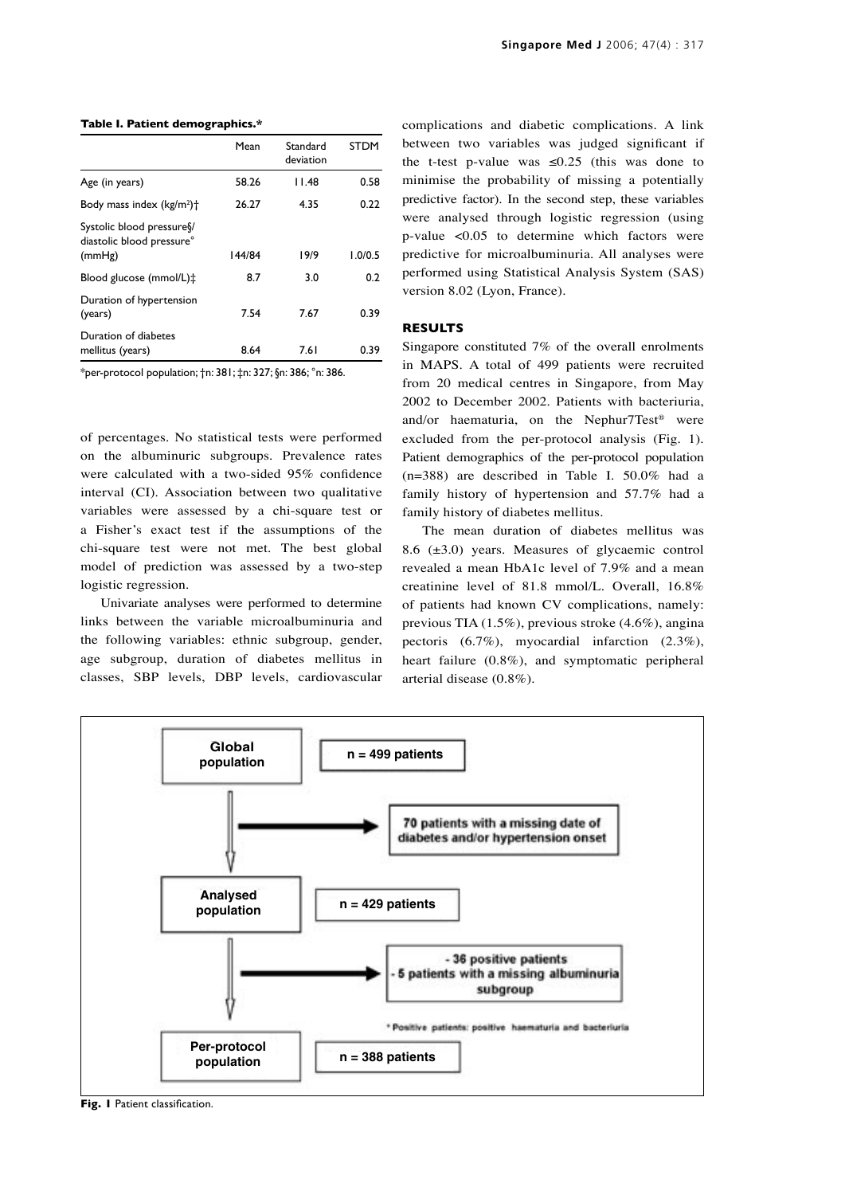#### **Table I. Patient demographics.\***

|                                                                | Mean   | Standard<br>deviation | <b>STDM</b> |
|----------------------------------------------------------------|--------|-----------------------|-------------|
| Age (in years)                                                 | 58.26  | I I.48                | 0.58        |
| Body mass index $(kg/m2)$ <sup>+</sup>                         | 26.27  | 4.35                  | 0.22        |
| Systolic blood pressure<br>diastolic blood pressure°<br>(mmHg) | 144/84 | 19/9                  | 1.0/0.5     |
| Blood glucose (mmol/L)‡                                        | 8.7    | 3.0                   | 0.2         |
| Duration of hypertension<br>(years)                            | 7.54   | 7.67                  | 0.39        |
| Duration of diabetes<br>mellitus (years)                       | 8.64   | 7.61                  | 0.39        |

\*per-protocol population; †n: 381; ‡n: 327; §n: 386; °n: 386.

of percentages. No statistical tests were performed on the albuminuric subgroups. Prevalence rates were calculated with a two-sided 95% confidence interval (CI). Association between two qualitative variables were assessed by a chi-square test or a Fisher's exact test if the assumptions of the chi-square test were not met. The best global model of prediction was assessed by a two-step logistic regression.

Univariate analyses were performed to determine links between the variable microalbuminuria and the following variables: ethnic subgroup, gender, age subgroup, duration of diabetes mellitus in classes, SBP levels, DBP levels, cardiovascular complications and diabetic complications. A link between two variables was judged significant if the t-test p-value was  $\leq 0.25$  (this was done to minimise the probability of missing a potentially predictive factor). In the second step, these variables were analysed through logistic regression (using p-value <0.05 to determine which factors were predictive for microalbuminuria. All analyses were performed using Statistical Analysis System (SAS) version 8.02 (Lyon, France).

## **RESULTS**

Singapore constituted 7% of the overall enrolments in MAPS. A total of 499 patients were recruited from 20 medical centres in Singapore, from May 2002 to December 2002. Patients with bacteriuria, and/or haematuria, on the Nephur7Test® were excluded from the per-protocol analysis (Fig. 1). Patient demographics of the per-protocol population (n=388) are described in Table I. 50.0% had a family history of hypertension and 57.7% had a family history of diabetes mellitus.

The mean duration of diabetes mellitus was 8.6 (±3.0) years. Measures of glycaemic control revealed a mean HbA1c level of 7.9% and a mean creatinine level of 81.8 mmol/L. Overall, 16.8% of patients had known CV complications, namely: previous TIA (1.5%), previous stroke (4.6%), angina pectoris (6.7%), myocardial infarction (2.3%), heart failure (0.8%), and symptomatic peripheral arterial disease (0.8%).



**Fig. 1** Patient classification.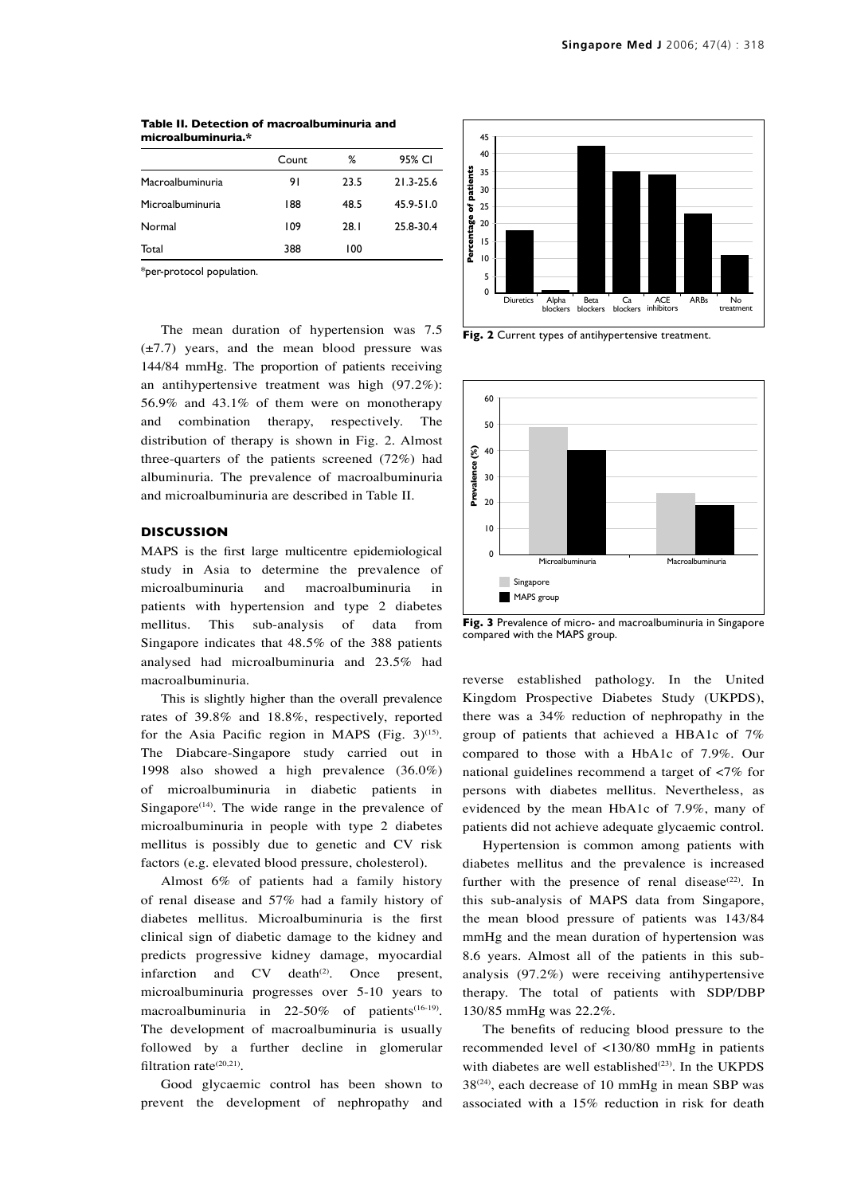|                  | Count | ℅    | 95% CI    |
|------------------|-------|------|-----------|
| Macroalbuminuria | 91    | 23.5 | 21.3-25.6 |
| Microalbuminuria | 188   | 48.5 | 45.9-51.0 |
| Normal           | 109   | 28.1 | 25.8-30.4 |
| Total            | 388   | 100  |           |
|                  |       |      |           |

**Table II. Detection of macroalbuminuria and microalbuminuria.\***

\*per-protocol population.

The mean duration of hypertension was 7.5 (±7.7) years, and the mean blood pressure was 144/84 mmHg. The proportion of patients receiving an antihypertensive treatment was high (97.2%): 56.9% and 43.1% of them were on monotherapy and combination therapy, respectively. The distribution of therapy is shown in Fig. 2. Almost three-quarters of the patients screened (72%) had albuminuria. The prevalence of macroalbuminuria and microalbuminuria are described in Table II.

# **DISCUSSION**

MAPS is the first large multicentre epidemiological study in Asia to determine the prevalence of microalbuminuria and macroalbuminuria in patients with hypertension and type 2 diabetes mellitus. This sub-analysis of data from Singapore indicates that 48.5% of the 388 patients analysed had microalbuminuria and 23.5% had macroalbuminuria.

This is slightly higher than the overall prevalence rates of 39.8% and 18.8%, respectively, reported for the Asia Pacific region in MAPS (Fig.  $3)^{(15)}$ . The Diabcare-Singapore study carried out in 1998 also showed a high prevalence (36.0%) of microalbuminuria in diabetic patients in Singapore<sup> $(14)$ </sup>. The wide range in the prevalence of microalbuminuria in people with type 2 diabetes mellitus is possibly due to genetic and CV risk factors (e.g. elevated blood pressure, cholesterol).

Almost 6% of patients had a family history of renal disease and 57% had a family history of diabetes mellitus. Microalbuminuria is the first clinical sign of diabetic damage to the kidney and predicts progressive kidney damage, myocardial infarction and  $CV$  death<sup>(2)</sup>. Once present, microalbuminuria progresses over 5-10 years to macroalbuminuria in 22-50% of patients<sup>(16-19)</sup>. The development of macroalbuminuria is usually followed by a further decline in glomerular filtration rate<sup>(20,21)</sup>.

Good glycaemic control has been shown to prevent the development of nephropathy and



**Fig. 2** Current types of antihypertensive treatment.



**Fig. 3** Prevalence of micro- and macroalbuminuria in Singapore compared with the MAPS group.

reverse established pathology. In the United Kingdom Prospective Diabetes Study (UKPDS), there was a 34% reduction of nephropathy in the group of patients that achieved a HBA1c of 7% compared to those with a HbA1c of 7.9%. Our national guidelines recommend a target of <7% for persons with diabetes mellitus. Nevertheless, as evidenced by the mean HbA1c of 7.9%, many of patients did not achieve adequate glycaemic control.

Hypertension is common among patients with diabetes mellitus and the prevalence is increased further with the presence of renal disease<sup>(22)</sup>. In this sub-analysis of MAPS data from Singapore, the mean blood pressure of patients was 143/84 mmHg and the mean duration of hypertension was 8.6 years. Almost all of the patients in this subanalysis (97.2%) were receiving antihypertensive therapy. The total of patients with SDP/DBP 130/85 mmHg was 22.2%.

The benefits of reducing blood pressure to the recommended level of <130/80 mmHg in patients with diabetes are well established $(23)$ . In the UKPDS 38<sup>(24)</sup>, each decrease of 10 mmHg in mean SBP was associated with a 15% reduction in risk for death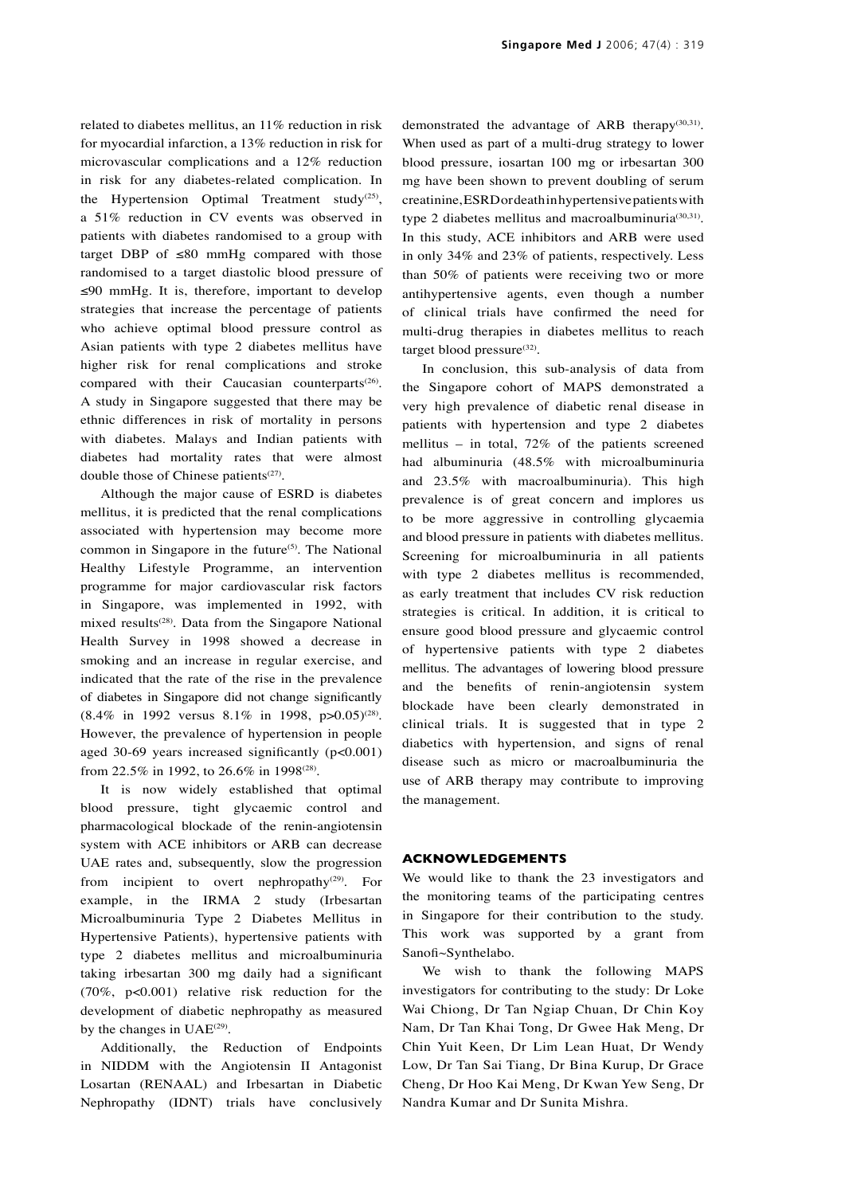related to diabetes mellitus, an 11% reduction in risk for myocardial infarction, a 13% reduction in risk for microvascular complications and a 12% reduction in risk for any diabetes-related complication. In the Hypertension Optimal Treatment study<sup>(25)</sup>, a 51% reduction in CV events was observed in patients with diabetes randomised to a group with target DBP of  $\leq 80$  mmHg compared with those randomised to a target diastolic blood pressure of ≤90 mmHg. It is, therefore, important to develop strategies that increase the percentage of patients who achieve optimal blood pressure control as Asian patients with type 2 diabetes mellitus have higher risk for renal complications and stroke compared with their Caucasian counterparts<sup>(26)</sup>. A study in Singapore suggested that there may be ethnic differences in risk of mortality in persons with diabetes. Malays and Indian patients with diabetes had mortality rates that were almost double those of Chinese patients<sup>(27)</sup>.

Although the major cause of ESRD is diabetes mellitus, it is predicted that the renal complications associated with hypertension may become more common in Singapore in the future<sup>(5)</sup>. The National Healthy Lifestyle Programme, an intervention programme for major cardiovascular risk factors in Singapore, was implemented in 1992, with mixed results<sup>(28)</sup>. Data from the Singapore National Health Survey in 1998 showed a decrease in smoking and an increase in regular exercise, and indicated that the rate of the rise in the prevalence of diabetes in Singapore did not change significantly  $(8.4\% \text{ in } 1992 \text{ versus } 8.1\% \text{ in } 1998, \text{ p} > 0.05)^{(28)}$ . However, the prevalence of hypertension in people aged 30-69 years increased significantly (p<0.001) from 22.5% in 1992, to 26.6% in 1998<sup>(28)</sup>.

It is now widely established that optimal blood pressure, tight glycaemic control and pharmacological blockade of the renin-angiotensin system with ACE inhibitors or ARB can decrease UAE rates and, subsequently, slow the progression from incipient to overt nephropathy<sup>(29)</sup>. For example, in the IRMA 2 study (Irbesartan Microalbuminuria Type 2 Diabetes Mellitus in Hypertensive Patients), hypertensive patients with type 2 diabetes mellitus and microalbuminuria taking irbesartan 300 mg daily had a significant (70%, p<0.001) relative risk reduction for the development of diabetic nephropathy as measured by the changes in  $UAE^{(29)}$ .

Additionally, the Reduction of Endpoints in NIDDM with the Angiotensin II Antagonist Losartan (RENAAL) and Irbesartan in Diabetic Nephropathy (IDNT) trials have conclusively

demonstrated the advantage of ARB therapy<sup>(30,31)</sup>. When used as part of a multi-drug strategy to lower blood pressure, iosartan 100 mg or irbesartan 300 mg have been shown to prevent doubling of serum creatinine, ESRD or death in hypertensive patients with type 2 diabetes mellitus and macroalbuminuria $(30,31)$ . In this study, ACE inhibitors and ARB were used in only 34% and 23% of patients, respectively. Less than 50% of patients were receiving two or more antihypertensive agents, even though a number of clinical trials have confirmed the need for multi-drug therapies in diabetes mellitus to reach target blood pressure<sup>(32)</sup>.

In conclusion, this sub-analysis of data from the Singapore cohort of MAPS demonstrated a very high prevalence of diabetic renal disease in patients with hypertension and type 2 diabetes mellitus – in total, 72% of the patients screened had albuminuria (48.5% with microalbuminuria and 23.5% with macroalbuminuria). This high prevalence is of great concern and implores us to be more aggressive in controlling glycaemia and blood pressure in patients with diabetes mellitus. Screening for microalbuminuria in all patients with type 2 diabetes mellitus is recommended, as early treatment that includes CV risk reduction strategies is critical. In addition, it is critical to ensure good blood pressure and glycaemic control of hypertensive patients with type 2 diabetes mellitus. The advantages of lowering blood pressure and the benefits of renin-angiotensin system blockade have been clearly demonstrated in clinical trials. It is suggested that in type 2 diabetics with hypertension, and signs of renal disease such as micro or macroalbuminuria the use of ARB therapy may contribute to improving the management.

# **ACKNOWLEDGEMENTS**

We would like to thank the 23 investigators and the monitoring teams of the participating centres in Singapore for their contribution to the study. This work was supported by a grant from Sanofi~Synthelabo.

We wish to thank the following MAPS investigators for contributing to the study: Dr Loke Wai Chiong, Dr Tan Ngiap Chuan, Dr Chin Koy Nam, Dr Tan Khai Tong, Dr Gwee Hak Meng, Dr Chin Yuit Keen, Dr Lim Lean Huat, Dr Wendy Low, Dr Tan Sai Tiang, Dr Bina Kurup, Dr Grace Cheng, Dr Hoo Kai Meng, Dr Kwan Yew Seng, Dr Nandra Kumar and Dr Sunita Mishra.